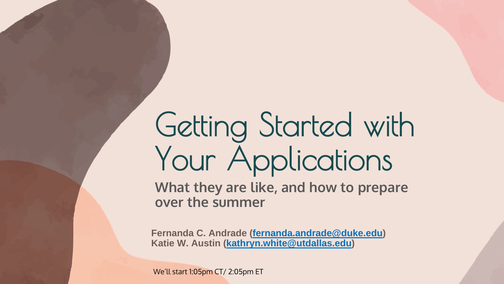# Getting Started with Your Applications

**What they are like, and how to prepare over the summer**

**Fernanda C. Andrade [\(fernanda.andrade@duke.edu\)](mailto:fernanda.andrade@duke.edu) Katie W. Austin [\(kathryn.white@utdallas.edu\)](mailto:kathryn.white@utdallas.edu)**

We'll start 1:05pm CT/ 2:05pm ET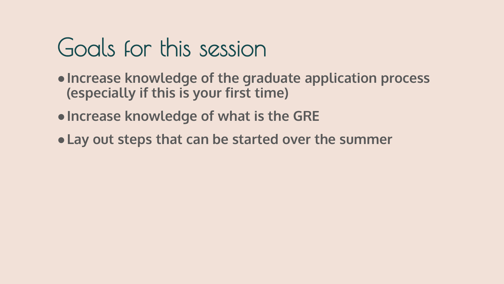#### Goals for this session

- ●**Increase knowledge of the graduate application process (especially if this is your first time)**
- ●**Increase knowledge of what is the GRE**
- ●**Lay out steps that can be started over the summer**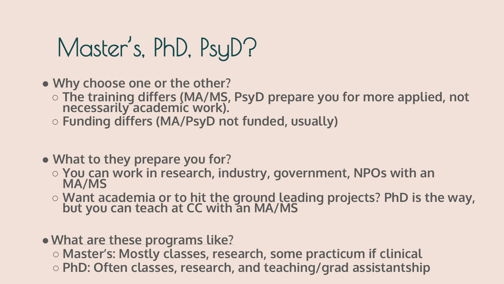### Master's, PhD, PsyD?

● **Why choose one or the other?**

- **The training differs (MA/MS, PsyD prepare you for more applied, not necessarily academic work).**
- **Funding differs (MA/PsyD not funded, usually)**
- **What to they prepare you for?**
	- **You can work in research, industry, government, NPOs with an MA/MS**
	- **Want academia or to hit the ground leading projects? PhD is the way, but you can teach at CC with an MA/MS**
- ●**What are these programs like?**
	- **Master's: Mostly classes, research, some practicum if clinical** ○ **PhD: Often classes, research, and teaching/grad assistantship**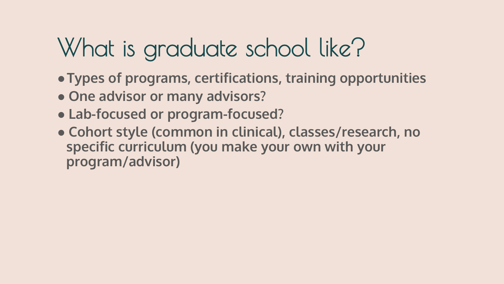# What is graduate school like?

- ●**Types of programs, certifications, training opportunities**
- **One advisor or many advisors?**
- **Lab-focused or program-focused?**
- **Cohort style (common in clinical), classes/research, no specific curriculum (you make your own with your program/advisor)**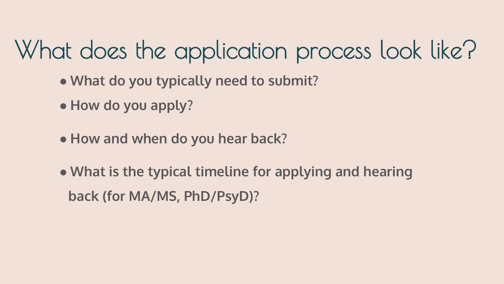- **What do you typically need to submit?**
- **How do you apply?**
- **How and when do you hear back?**
- **What is the typical timeline for applying and hearing back (for MA/MS, PhD/PsyD)?**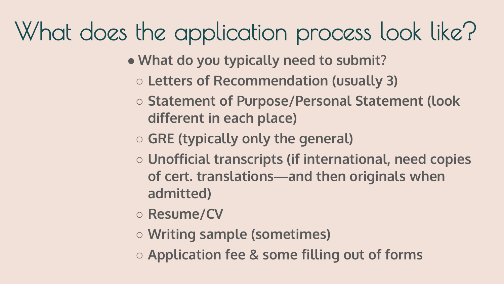- **What do you typically need to submit?**
	- **Letters of Recommendation (usually 3)**
	- **Statement of Purpose/Personal Statement (look different in each place)**
	- **GRE (typically only the general)**
	- **Unofficial transcripts (if international, need copies of cert. translations—and then originals when admitted)**
	- **Resume/CV**
	- **Writing sample (sometimes)**
	- **Application fee & some filling out of forms**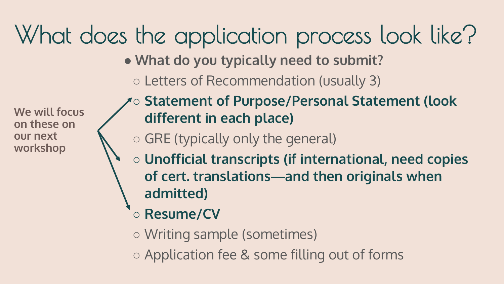- **What do you typically need to submit?**
	- Letters of Recommendation (usually 3)

**We will focus on these on our next workshop**

- **Statement of Purpose/Personal Statement (look different in each place)**
- GRE (typically only the general)
- **Unofficial transcripts (if international, need copies of cert. translations—and then originals when admitted)**
	- **Resume/CV**
	- Writing sample (sometimes)
	- Application fee & some filling out of forms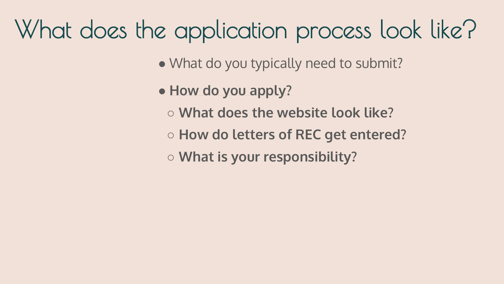- What do you typically need to submit?
- **How do you apply?**
	- **What does the website look like?**
	- **How do letters of REC get entered?**
	- **What is your responsibility?**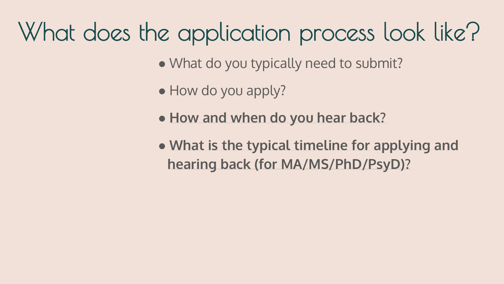- What do you typically need to submit?
- How do you apply?
- **How and when do you hear back?**
- **What is the typical timeline for applying and hearing back (for MA/MS/PhD/PsyD)?**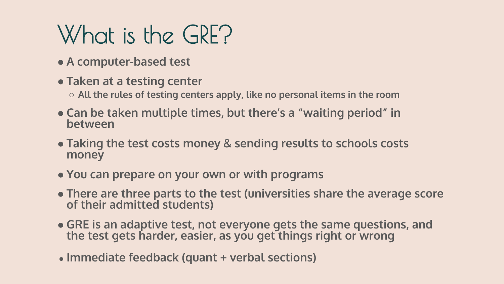# What is the GRE?

- **A computer-based test**
- **Taken at a testing center**
	- **All the rules of testing centers apply, like no personal items in the room**
- **Can be taken multiple times, but there's a "waiting period" in between**
- **Taking the test costs money & sending results to schools costs money**
- **You can prepare on your own or with programs**
- **There are three parts to the test (universities share the average score of their admitted students)**
- **GRE is an adaptive test, not everyone gets the same questions, and the test gets harder, easier, as you get things right or wrong**
- **Immediate feedback (quant + verbal sections)**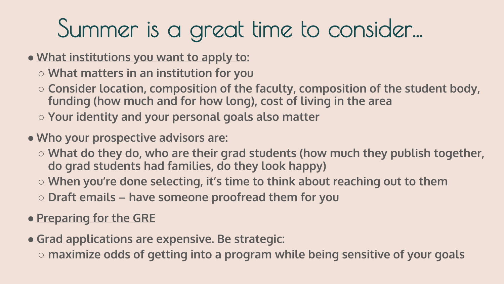## Summer is a great time to consider...

- **What institutions you want to apply to:**
	- **What matters in an institution for you**
	- **Consider location, composition of the faculty, composition of the student body, funding (how much and for how long), cost of living in the area**
	- **Your identity and your personal goals also matter**
- **Who your prospective advisors are:**
	- **What do they do, who are their grad students (how much they publish together, do grad students had families, do they look happy)**
	- **When you're done selecting, it's time to think about reaching out to them**
	- **Draft emails – have someone proofread them for you**
- **Preparing for the GRE**
- **Grad applications are expensive. Be strategic:**
	- **maximize odds of getting into a program while being sensitive of your goals**